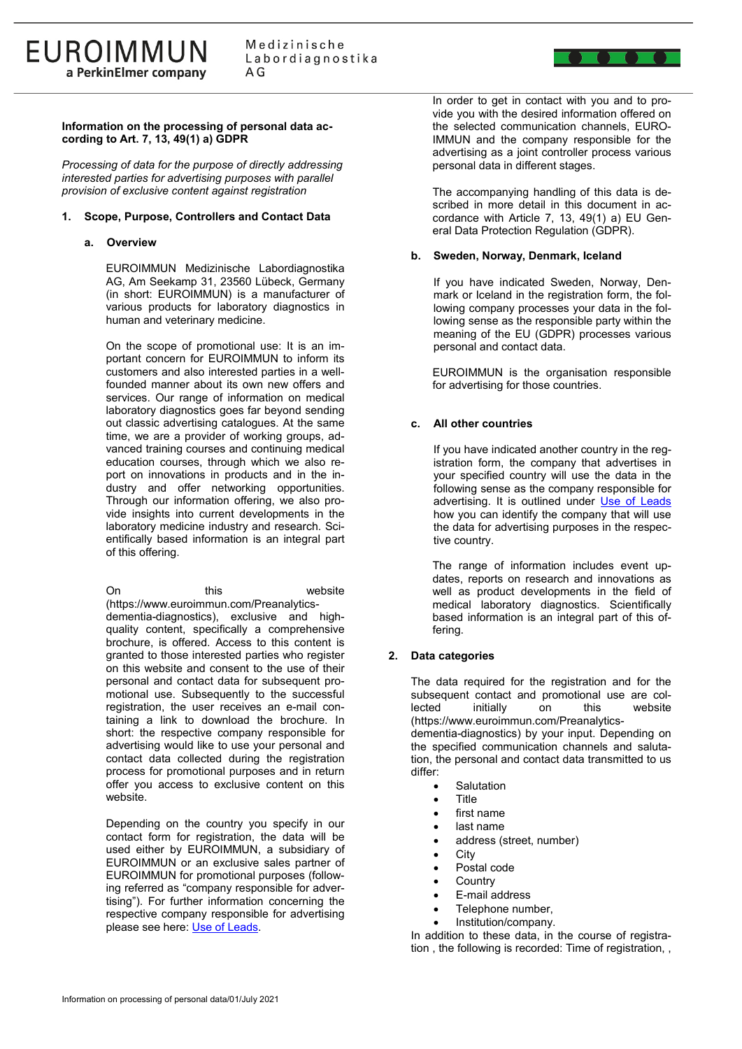## **Information on the processing of personal data according to Art. 7, 13, 49(1) a) GDPR**

*Processing of data for the purpose of directly addressing interested parties for advertising purposes with parallel provision of exclusive content against registration*

## **1. Scope, Purpose, Controllers and Contact Data**

#### **a. Overview**

EUROIMMUN Medizinische Labordiagnostika AG, Am Seekamp 31, 23560 Lübeck, Germany (in short: EUROIMMUN) is a manufacturer of various products for laboratory diagnostics in human and veterinary medicine.

On the scope of promotional use: It is an important concern for EUROIMMUN to inform its customers and also interested parties in a wellfounded manner about its own new offers and services. Our range of information on medical laboratory diagnostics goes far beyond sending out classic advertising catalogues. At the same time, we are a provider of working groups, advanced training courses and continuing medical education courses, through which we also report on innovations in products and in the industry and offer networking opportunities. Through our information offering, we also provide insights into current developments in the laboratory medicine industry and research. Scientifically based information is an integral part of this offering.

On this website (https://www.euroimmun.com/Preanalyticsdementia-diagnostics), exclusive and highquality content, specifically a comprehensive brochure, is offered. Access to this content is granted to those interested parties who register on this website and consent to the use of their personal and contact data for subsequent promotional use. Subsequently to the successful registration, the user receives an e-mail containing a link to download the brochure. In short: the respective company responsible for advertising would like to use your personal and contact data collected during the registration process for promotional purposes and in return offer you access to exclusive content on this website.

Depending on the country you specify in our contact form for registration, the data will be used either by EUROIMMUN, a subsidiary of EUROIMMUN or an exclusive sales partner of EUROIMMUN for promotional purposes (following referred as "company responsible for advertising"). For further information concerning the respective company responsible for advertising please see here: [Use of Leads.](https://www.euroimmun.com/legal/use-of-leads/)

In order to get in contact with you and to provide you with the desired information offered on the selected communication channels, EURO-IMMUN and the company responsible for the advertising as a joint controller process various personal data in different stages.

The accompanying handling of this data is described in more detail in this document in accordance with Article 7, 13, 49(1) a) EU General Data Protection Regulation (GDPR).

#### **b. Sweden, Norway, Denmark, Iceland**

If you have indicated Sweden, Norway, Denmark or Iceland in the registration form, the following company processes your data in the following sense as the responsible party within the meaning of the EU (GDPR) processes various personal and contact data.

EUROIMMUN is the organisation responsible for advertising for those countries.

## **c. All other countries**

If you have indicated another country in the registration form, the company that advertises in your specified country will use the data in the following sense as the company responsible for advertising. It is outlined under [Use of Leads](https://www.euroimmun.com/legal/use-of-leads/) how you can identify the company that will use the data for advertising purposes in the respective country.

The range of information includes event updates, reports on research and innovations as well as product developments in the field of medical laboratory diagnostics. Scientifically based information is an integral part of this offering.

# **2. Data categories**

The data required for the registration and for the subsequent contact and promotional use are col-<br>lected initially on this website initially (https://www.euroimmun.com/Preanalyticsdementia-diagnostics) by your input. Depending on the specified communication channels and salutation, the personal and contact data transmitted to us differ:

- **Salutation**
- Title
- first name
- last name
- address (street, number)
- **City**
- Postal code
- **Country**
- E-mail address
- Telephone number,
- Institution/company.

In addition to these data, in the course of registration , the following is recorded: Time of registration, ,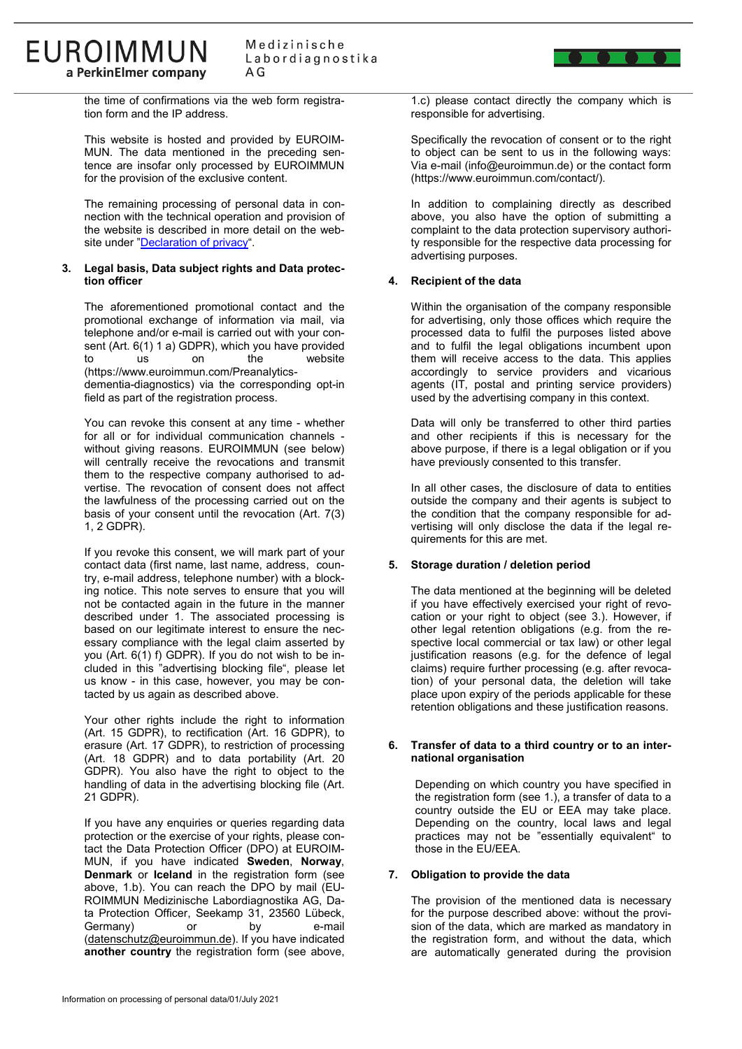

the time of confirmations via the web form registration form and the IP address.

**EUROIMMUN** 

a PerkinElmer company

This website is hosted and provided by EUROIM-MUN. The data mentioned in the preceding sentence are insofar only processed by EUROIMMUN for the provision of the exclusive content.

The remaining processing of personal data in connection with the technical operation and provision of the website is described in more detail on the web-site under ["Declaration of privacy"](https://www.euroimmun.com/legal/declaration-of-privacy/).

#### **3. Legal basis, Data subject rights and Data protection officer**

The aforementioned promotional contact and the promotional exchange of information via mail, via telephone and/or e-mail is carried out with your consent (Art. 6(1) 1 a) GDPR), which you have provided to us on the website (https://www.euroimmun.com/Preanalyticsdementia-diagnostics) via the corresponding opt-in field as part of the registration process.

You can revoke this consent at any time - whether for all or for individual communication channels without giving reasons. EUROIMMUN (see below) will centrally receive the revocations and transmit them to the respective company authorised to advertise. The revocation of consent does not affect the lawfulness of the processing carried out on the basis of your consent until the revocation (Art. 7(3) 1, 2 GDPR).

If you revoke this consent, we will mark part of your contact data (first name, last name, address, country, e-mail address, telephone number) with a blocking notice. This note serves to ensure that you will not be contacted again in the future in the manner described under 1. The associated processing is based on our legitimate interest to ensure the necessary compliance with the legal claim asserted by you (Art. 6(1) f) GDPR). If you do not wish to be included in this "advertising blocking file", please let us know - in this case, however, you may be contacted by us again as described above.

Your other rights include the right to information (Art. 15 GDPR), to rectification (Art. 16 GDPR), to erasure (Art. 17 GDPR), to restriction of processing (Art. 18 GDPR) and to data portability (Art. 20 GDPR). You also have the right to object to the handling of data in the advertising blocking file (Art. 21 GDPR).

If you have any enquiries or queries regarding data protection or the exercise of your rights, please contact the Data Protection Officer (DPO) at EUROIM-MUN, if you have indicated **Sweden**, **Norway**, **Denmark** or **Iceland** in the registration form (see above, 1.b). You can reach the DPO by mail (EU-ROIMMUN Medizinische Labordiagnostika AG, Data Protection Officer, Seekamp 31, 23560 Lübeck, Germany) or by e-mail [\(datenschutz@euroimmun.de\)](mailto:datenschutz@euroimmun.de). If you have indicated **another country** the registration form (see above,

1.c) please contact directly the company which is responsible for advertising.

Specifically the revocation of consent or to the right to object can be sent to us in the following ways: Via e-mail (info@euroimmun.de) or the contact form (https://www.euroimmun.com/contact/).

In addition to complaining directly as described above, you also have the option of submitting a complaint to the data protection supervisory authority responsible for the respective data processing for advertising purposes.

# **4. Recipient of the data**

Within the organisation of the company responsible for advertising, only those offices which require the processed data to fulfil the purposes listed above and to fulfil the legal obligations incumbent upon them will receive access to the data. This applies accordingly to service providers and vicarious agents (IT, postal and printing service providers) used by the advertising company in this context.

Data will only be transferred to other third parties and other recipients if this is necessary for the above purpose, if there is a legal obligation or if you have previously consented to this transfer.

In all other cases, the disclosure of data to entities outside the company and their agents is subject to the condition that the company responsible for advertising will only disclose the data if the legal requirements for this are met.

# **5. Storage duration / deletion period**

The data mentioned at the beginning will be deleted if you have effectively exercised your right of revocation or your right to object (see 3.). However, if other legal retention obligations (e.g. from the respective local commercial or tax law) or other legal justification reasons (e.g. for the defence of legal claims) require further processing (e.g. after revocation) of your personal data, the deletion will take place upon expiry of the periods applicable for these retention obligations and these justification reasons.

## **6. Transfer of data to a third country or to an international organisation**

Depending on which country you have specified in the registration form (see 1.), a transfer of data to a country outside the EU or EEA may take place. Depending on the country, local laws and legal practices may not be "essentially equivalent" to those in the EU/EEA.

# **7. Obligation to provide the data**

The provision of the mentioned data is necessary for the purpose described above: without the provision of the data, which are marked as mandatory in the registration form, and without the data, which are automatically generated during the provision